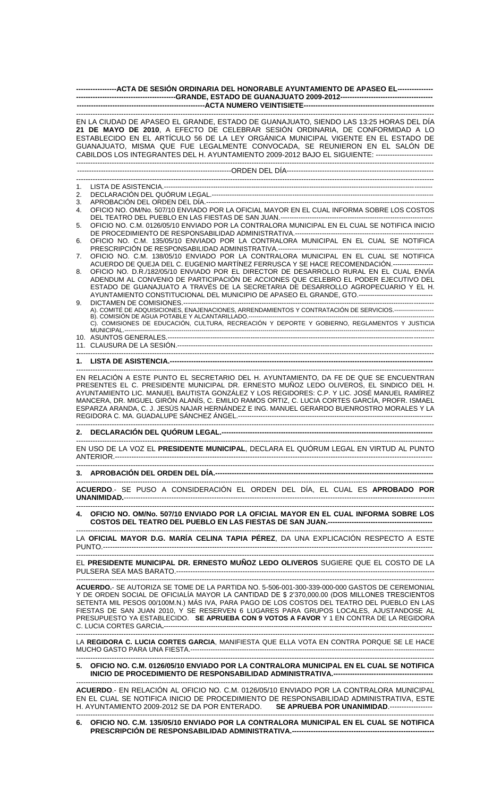| -----------------ACTA DE SESIÓN ORDINARIA DEL HONORABLE AYUNTAMIENTO DE APASEO EL---------------                                                                                                                                                                                                                                                                                   |                                                                                                                                                                                                                                                                                                                                                                                                                                                                                    |
|------------------------------------------------------------------------------------------------------------------------------------------------------------------------------------------------------------------------------------------------------------------------------------------------------------------------------------------------------------------------------------|------------------------------------------------------------------------------------------------------------------------------------------------------------------------------------------------------------------------------------------------------------------------------------------------------------------------------------------------------------------------------------------------------------------------------------------------------------------------------------|
|                                                                                                                                                                                                                                                                                                                                                                                    |                                                                                                                                                                                                                                                                                                                                                                                                                                                                                    |
|                                                                                                                                                                                                                                                                                                                                                                                    | EN LA CIUDAD DE APASEO EL GRANDE, ESTADO DE GUANAJUATO, SIENDO LAS 13:25 HORAS DEL DÍA<br>21 DE MAYO DE 2010, A EFECTO DE CELEBRAR SESIÓN ORDINARIA, DE CONFORMIDAD A LO<br>ESTABLECIDO EN EL ARTÍCULO 56 DE LA LEY ORGÁNICA MUNICIPAL VIGENTE EN EL ESTADO DE<br>GUANAJUATO, MISMA QUE FUE LEGALMENTE CONVOCADA, SE REUNIERON EN EL SALÓN DE<br>CABILDOS LOS INTEGRANTES DEL H. AYUNTAMIENTO 2009-2012 BAJO EL SIGUIENTE: -------------------------                               |
|                                                                                                                                                                                                                                                                                                                                                                                    |                                                                                                                                                                                                                                                                                                                                                                                                                                                                                    |
| 1.                                                                                                                                                                                                                                                                                                                                                                                 |                                                                                                                                                                                                                                                                                                                                                                                                                                                                                    |
| 2.                                                                                                                                                                                                                                                                                                                                                                                 |                                                                                                                                                                                                                                                                                                                                                                                                                                                                                    |
| 3.                                                                                                                                                                                                                                                                                                                                                                                 |                                                                                                                                                                                                                                                                                                                                                                                                                                                                                    |
| 4.                                                                                                                                                                                                                                                                                                                                                                                 | OFICIO NO. OM/No. 507/10 ENVIADO POR LA OFICIAL MAYOR EN EL CUAL INFORMA SOBRE LOS COSTOS                                                                                                                                                                                                                                                                                                                                                                                          |
| 5.                                                                                                                                                                                                                                                                                                                                                                                 | OFICIO NO. C.M. 0126/05/10 ENVIADO POR LA CONTRALORA MUNICIPAL EN EL CUAL SE NOTIFICA INICIO                                                                                                                                                                                                                                                                                                                                                                                       |
| 6.                                                                                                                                                                                                                                                                                                                                                                                 | OFICIO NO. C.M. 135/05/10 ENVIADO POR LA CONTRALORA MUNICIPAL EN EL CUAL SE NOTIFICA                                                                                                                                                                                                                                                                                                                                                                                               |
| 7.                                                                                                                                                                                                                                                                                                                                                                                 | OFICIO NO. C.M. 138/05/10 ENVIADO POR LA CONTRALORA MUNICIPAL EN EL CUAL SE NOTIFICA                                                                                                                                                                                                                                                                                                                                                                                               |
| 8.                                                                                                                                                                                                                                                                                                                                                                                 | ACUERDO DE QUEJA DEL C. EUGENIO MARTÍNEZ FERRUSCA Y SE HACE RECOMENDACIÓN.------------------<br>OFICIO NO. D.R./182/05/10 ENVIADO POR EL DIRECTOR DE DESARROLLO RURAL EN EL CUAL ENVÍA<br>ADENDUM AL CONVENIO DE PARTICIPACIÓN DE ACCIONES QUE CELEBRO EL PODER EJECUTIVO DEL<br>ESTADO DE GUANAJUATO A TRAVÉS DE LA SECRETARIA DE DESARROLLO AGROPECUARIO Y EL H.<br>AYUNTAMIENTO CONSTITUCIONAL DEL MUNICIPIO DE APASEO EL GRANDE, GTO.--------------------------------          |
| 9.                                                                                                                                                                                                                                                                                                                                                                                 | A). COMITÉ DE ADQUISICIONES, ENAJENACIONES, ARRENDAMIENTOS Y CONTRATACIÓN DE SERVICIOS.-------------------                                                                                                                                                                                                                                                                                                                                                                         |
|                                                                                                                                                                                                                                                                                                                                                                                    | B). COMISIÓN DE AGUA POTABLE Y ALCANTARILLADO.<br>C). COMISIONES DE EDUCACIÓN, CULTURA, RECREACIÓN Y DEPORTE Y GOBIERNO, REGLAMENTOS Y JUSTICIA                                                                                                                                                                                                                                                                                                                                    |
|                                                                                                                                                                                                                                                                                                                                                                                    |                                                                                                                                                                                                                                                                                                                                                                                                                                                                                    |
|                                                                                                                                                                                                                                                                                                                                                                                    |                                                                                                                                                                                                                                                                                                                                                                                                                                                                                    |
|                                                                                                                                                                                                                                                                                                                                                                                    |                                                                                                                                                                                                                                                                                                                                                                                                                                                                                    |
|                                                                                                                                                                                                                                                                                                                                                                                    |                                                                                                                                                                                                                                                                                                                                                                                                                                                                                    |
| EN RELACIÓN A ESTE PUNTO EL SECRETARIO DEL H. AYUNTAMIENTO, DA FE DE QUE SE ENCUENTRAN<br>PRESENTES EL C. PRESIDENTE MUNICIPAL DR. ERNESTO MUÑOZ LEDO OLIVEROS, EL SINDICO DEL H.<br>AYUNTAMIENTO LIC. MANUEL BAUTISTA GONZÁLEZ Y LOS REGIDORES: C.P. Y LIC. JOSÉ MANUEL RAMÍREZ<br>MANCERA, DR. MIGUEL GIRÓN ALANÍS, C. EMILIO RAMOS ORTIZ, C. LUCIA CORTES GARCÍA, PROFR. ISMAEL |                                                                                                                                                                                                                                                                                                                                                                                                                                                                                    |
| 2.                                                                                                                                                                                                                                                                                                                                                                                 |                                                                                                                                                                                                                                                                                                                                                                                                                                                                                    |
|                                                                                                                                                                                                                                                                                                                                                                                    | EN USO DE LA VOZ EL PRESIDENTE MUNICIPAL, DECLARA EL QUÓRUM LEGAL EN VIRTUD AL PUNTO                                                                                                                                                                                                                                                                                                                                                                                               |
|                                                                                                                                                                                                                                                                                                                                                                                    |                                                                                                                                                                                                                                                                                                                                                                                                                                                                                    |
|                                                                                                                                                                                                                                                                                                                                                                                    | ACUERDO.- SE PUSO A CONSIDERACIÓN EL ORDEN DEL DÍA, EL CUAL ES APROBADO POR                                                                                                                                                                                                                                                                                                                                                                                                        |
| 4.                                                                                                                                                                                                                                                                                                                                                                                 | OFICIO NO. OM/No. 507/10 ENVIADO POR LA OFICIAL MAYOR EN EL CUAL INFORMA SOBRE LOS                                                                                                                                                                                                                                                                                                                                                                                                 |
|                                                                                                                                                                                                                                                                                                                                                                                    | LA OFICIAL MAYOR D.G. MARÍA CELINA TAPIA PÉREZ, DA UNA EXPLICACIÓN RESPECTO A ESTE                                                                                                                                                                                                                                                                                                                                                                                                 |
|                                                                                                                                                                                                                                                                                                                                                                                    | EL PRESIDENTE MUNICIPAL DR. ERNESTO MUÑOZ LEDO OLIVEROS SUGIERE QUE EL COSTO DE LA                                                                                                                                                                                                                                                                                                                                                                                                 |
|                                                                                                                                                                                                                                                                                                                                                                                    | ACUERDO.- SE AUTORIZA SE TOME DE LA PARTIDA NO. 5-506-001-300-339-000-000 GASTOS DE CEREMONIAL<br>Y DE ORDEN SOCIAL DE OFICIALÍA MAYOR LA CANTIDAD DE \$ 2'370,000.00 (DOS MILLONES TRESCIENTOS<br>SETENTA MIL PESOS 00/100M.N.) MÁS IVA, PARA PAGO DE LOS COSTOS DEL TEATRO DEL PUEBLO EN LAS<br>FIESTAS DE SAN JUAN 2010, Y SE RESERVEN 6 LUGARES PARA GRUPOS LOCALES, AJUSTANDOSE AL<br>PRESUPUESTO YA ESTABLECIDO. SE APRUEBA CON 9 VOTOS A FAVOR Y 1 EN CONTRA DE LA REGIDORA |
| LA REGIDORA C. LUCIA CORTES GARCIA, MANIFIESTA QUE ELLA VOTA EN CONTRA PORQUE SE LE HACE                                                                                                                                                                                                                                                                                           |                                                                                                                                                                                                                                                                                                                                                                                                                                                                                    |
|                                                                                                                                                                                                                                                                                                                                                                                    | 5. OFICIO NO. C.M. 0126/05/10 ENVIADO POR LA CONTRALORA MUNICIPAL EN EL CUAL SE NOTIFICA                                                                                                                                                                                                                                                                                                                                                                                           |
|                                                                                                                                                                                                                                                                                                                                                                                    | ACUERDO.- EN RELACIÓN AL OFICIO NO. C.M. 0126/05/10 ENVIADO POR LA CONTRALORA MUNICIPAL<br>EN EL CUAL SE NOTIFICA INICIO DE PROCEDIMIENTO DE RESPONSABILIDAD ADMINISTRATIVA, ESTE<br>H. AYUNTAMIENTO 2009-2012 SE DA POR ENTERADO. SE APRUEBA POR UNANIMIDAD.------------------                                                                                                                                                                                                    |

------------------------------------------------------------------------------------------------------------------------------------------------------- **6. OFICIO NO. C.M. 135/05/10 ENVIADO POR LA CONTRALORA MUNICIPAL EN EL CUAL SE NOTIFICA PRESCRIPCIÓN DE RESPONSABILIDAD ADMINISTRATIVA.------------------------------------------------------------**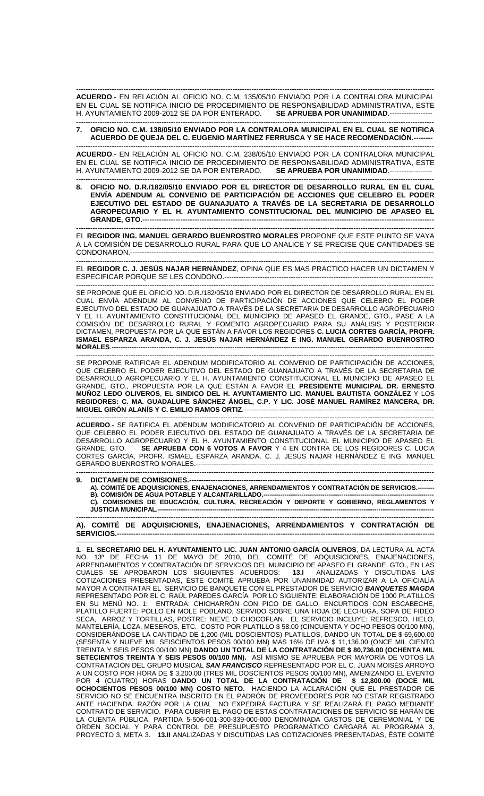------------------------------------------------------------------------------------------------------------------------------------------------------- **ACUERDO**.- EN RELACIÓN AL OFICIO NO. C.M. 135/05/10 ENVIADO POR LA CONTRALORA MUNICIPAL EN EL CUAL SE NOTIFICA INICIO DE PROCEDIMIENTO DE RESPONSABILIDAD ADMINISTRATIVA, ESTE H. AYUNTAMIENTO 2009-2012 SE DA POR ENTERADO. SE APRUEBA POR UNANIMIDAD.---

## ------------------------------------------------------------------------------------------------------------------------------------------------------- **7. OFICIO NO. C.M. 138/05/10 ENVIADO POR LA CONTRALORA MUNICIPAL EN EL CUAL SE NOTIFICA ACUERDO DE QUEJA DEL C. EUGENIO MARTÍNEZ FERRUSCA Y SE HACE RECOMENDACIÓN.--------**

------------------------------------------------------------------------------------------------------------------------------------------------------- **ACUERDO**.- EN RELACIÓN AL OFICIO NO. C.M. 238/05/10 ENVIADO POR LA CONTRALORA MUNICIPAL EN EL CUAL SE NOTIFICA INICIO DE PROCEDIMIENTO DE RESPONSABILIDAD ADMINISTRATIVA, ESTE<br>EL AYUNTAMIENTO 2009-2012 SE DA POR ENTERADO. **SE APRUEBA POR UNANIMIDAD** -------------------H. AYUNTAMIENTO 2009-2012 SE DA POR ENTERADO.

------------------------------------------------------------------------------------------------------------------------------------------------------- **8. OFICIO NO. D.R./182/05/10 ENVIADO POR EL DIRECTOR DE DESARROLLO RURAL EN EL CUAL ENVÍA ADENDUM AL CONVENIO DE PARTICIPACIÓN DE ACCIONES QUE CELEBRO EL PODER EJECUTIVO DEL ESTADO DE GUANAJUATO A TRAVÉS DE LA SECRETARIA DE DESARROLLO AGROPECUARIO Y EL H. AYUNTAMIENTO CONSTITUCIONAL DEL MUNICIPIO DE APASEO EL GRANDE, GTO.-**

------------------------------------------------------------------------------------------------------------------------------------------------------- EL **REGIDOR ING. MANUEL GERARDO BUENROSTRO MORALES** PROPONE QUE ESTE PUNTO SE VAYA A LA COMISIÓN DE DESARROLLO RURAL PARA QUE LO ANALICE Y SE PRECISE QUE CANTIDADES SE CONDONARON ---

------------------------------------------------------------------------------------------------------------------------------------------------------- EL **REGIDOR C. J. JESÚS NAJAR HERNÁNDEZ**, OPINA QUE ES MAS PRACTICO HACER UN DICTAMEN Y ESPECIFICAR PORQUE SE LES CONDONO.----------------------------------------------------------------------------------------

------------------------------------------------------------------------------------------------------------------------------------------------------- SE PROPONE QUE EL OFICIO NO. D.R./182/05/10 ENVIADO POR EL DIRECTOR DE DESARROLLO RURAL EN EL CUAL ENVÍA ADENDUM AL CONVENIO DE PARTICIPACIÓN DE ACCIONES QUE CELEBRO EL PODER EJECUTIVO DEL ESTADO DE GUANAJUATO A TRAVÉS DE LA SECRETARIA DE DESARROLLO AGROPECUARIO Y EL H. AYUNTAMIENTO CONSTITUCIONAL DEL MUNICIPIO DE APASEO EL GRANDE, GTO., PASE A LA COMISIÓN DE DESARROLLO RURAL Y FOMENTO AGROPECUARIO PARA SU ANÁLISIS Y POSTERIOR DICTAMEN, PROPUESTA POR LA QUE ESTÁN A FAVOR LOS REGIDORES **C. LUCIA CORTES GARCÍA, PROFR. ISMAEL ESPARZA ARANDA, C. J. JESÚS NAJAR HERNÁNDEZ E ING. MANUEL GERARDO BUENROSTRO MORALES**.------------------------------------------------------------------------------------------------------------------------------------------------

------------------------------------------------------------------------------------------------------------------------------------------------------- SE PROPONE RATIFICAR EL ADENDUM MODIFICATORIO AL CONVENIO DE PARTICIPACIÓN DE ACCIONES, QUE CELEBRO EL PODER EJECUTIVO DEL ESTADO DE GUANAJUATO A TRAVÉS DE LA SECRETARIA DE DESARROLLO AGROPECUARIO Y EL H. AYUNTAMIENTO CONSTITUCIONAL EL MUNICIPIO DE APASEO EL GRANDE, GTO., PROPUESTA POR LA QUE ESTÁN A FAVOR EL **PRESIDENTE MUNICIPAL DR. ERNESTO MUÑOZ LEDO OLIVEROS**, EL **SINDICO DEL H. AYUNTAMIENTO LIC. MANUEL BAUTISTA GONZÁLEZ** Y LOS **REGIDORES: C. MA. GUADALUPE SÁNCHEZ ÁNGEL, C.P. Y LIC. JOSÉ MANUEL RAMÍREZ MANCERA, DR. MIGUEL GIRÓN ALANÍS Y C. EMILIO RAMOS ORTIZ**.-------------------------------------------------------------------------------------

------------------------------------------------------------------------------------------------------------------------------------------------------- **ACUERDO**.- SE RATIFICA EL ADENDUM MODIFICATORIO AL CONVENIO DE PARTICIPACIÓN DE ACCIONES, QUE CELEBRO EL PODER EJECUTIVO DEL ESTADO DE GUANAJUATO A TRAVÉS DE LA SECRETARIA DE DESARROLLO AGROPECUARIO Y EL H. AYUNTAMIENTO CONSTITUCIONAL EL MUNICIPIO DE APASEO EL<br>GRANDE, GTO. SE APRUEBA CON 6 VOTOS A FAVOR Y 4 EN CONTRA DE LOS REGIDORES C. LUCIA **SE APRUEBA CON 6 VOTOS A FAVOR** Y 4 EN CONTRA DE LOS REGIDORES C. LUCIA CORTES GARCÍA, PROFR. ISMAEL ESPARZA ARANDA, C. J. JESÚS NAJAR HERNÁNDEZ E ING. MANUEL GERARDO BUENROSTRO MORALES.---------------------------------------------------------------------------------------------------------------------------------------------------------------

**DICTAMEN DE COMISIONES.-**

A). COMITÉ DE ADQUISICIONES, ENAJENACIONES, ARRENDAMIENTOS Y CONTRATACIÓN DE SERVICIOS. **B). COMISIÓN DE AGUA POTABLE Y ALCANTARILLADO.--------------------------------------------------------------------------------- C). COMISIONES DE EDUCACIÓN, CULTURA, RECREACIÓN Y DEPORTE Y GOBIERNO, REGLAMENTOS Y JUSTICIA MUNICIPAL.-**

------------------------------------------------------------------------------------------------------------------------------------------------------- **A). COMITÉ DE ADQUISICIONES, ENAJENACIONES, ARRENDAMIENTOS Y CONTRATACIÓN DE SERVICIOS.--------------------------------------------------------------------------------------------------------------------------------------**

------------------------------------------------------------------------------------------------------------------------------------------------------- **1**.- EL **SECRETARIO DEL H. AYUNTAMIENTO LIC. JUAN ANTONIO GARCÍA OLIVEROS**, DA LECTURA AL ACTA NO. 13ª DE FECHA 11 DE MAYO DE 2010, DEL COMITÉ DE ADQUISICIONES, ENAJENACIONES, ARRENDAMIENTOS Y CONTRATACIÓN DE SERVICIOS DEL MUNICIPIO DE APASEO EL GRANDE, GTO., EN LAS CUALES SE APROBARON LOS SIGUIENTES ACUERDOS: **13.I** ANALIZADAS Y DISCUTIDAS LAS COTIZACIONES PRESENTADAS, ÉSTE COMITÉ APRUEBA POR UNANIMIDAD AUTORIZAR A LA OFICIALÍA MAYOR A CONTRATAR EL SERVICIO DE BANQUETE CON EL PRESTADOR DE SERVICIO *BANQUETES MAGDA* REPRESENTADO POR EL C. RAÚL PAREDES GARCÍA POR LO SIGUIENTE: ELABORACIÓN DE 1000 PLATILLOS EN SU MENÚ NO. 1: ENTRADA: CHICHARRÓN CON PICO DE GALLO, ENCURTIDOS CON ESCABECHE, PLATILLO FUERTE: POLLO EN MOLE POBLANO, SERVIDO SOBRE UNA HOJA DE LECHUGA, SOPA DE FIDEO SECA, ARROZ Y TORTILLAS, POSTRE: NIEVE O CHOCOFLAN. EL SERVICIO INCLUYE: REFRESCO, HIELO, MANTELERÍA, LOZA, MESEROS, ETC. COSTO POR PLATILLO \$ 58.00 (CINCUENTA Y OCHO PESOS 00/100 MN), CONSIDERÁNDOSE LA CANTIDAD DE 1,200 (MIL DOSCIENTOS) PLATILLOS, DANDO UN TOTAL DE \$ 69,600.00 (SESENTA Y NUEVE MIL SEISCIENTOS PESOS 00/100 MN) MAS 16% DE IVA \$ 11,136.00 (ONCE MIL CIENTO TREINTA Y SEIS PESOS 00/100 MN) **DANDO UN TOTAL DE LA CONTRATACIÓN DE \$ 80,736.00 (OCHENTA MIL SETECIENTOS TREINTA Y SEIS PESOS 00/100 MN).** ASÍ MISMO SE APRUEBA POR MAYORÍA DE VOTOS LA CONTRATACIÓN DEL GRUPO MUSICAL *SAN FRANCISCO* REPRESENTADO POR EL C. JUAN MOISÉS ARROYO A UN COSTO POR HORA DE \$ 3,200.00 (TRES MIL DOSCIENTOS PESOS 00/100 MN), AMENIZANDO EL EVENTO POR 4 (CUATRO) HORAS **DANDO UN TOTAL DE LA CONTRATACIÓN DE \$ 12,800.00 (DOCE MIL OCHOCIENTOS PESOS 00/100 MN) COSTO NETO.** HACIENDO LA ACLARACIÓN QUE EL PRESTADOR DE SERVICIO NO SE ENCUENTRA INSCRITO EN EL PADRÓN DE PROVEEDORES POR NO ESTAR REGISTRADO ANTE HACIENDA, RAZÓN POR LA CUAL NO EXPEDIRÁ FACTURA Y SE REALIZARÁ EL PAGO MEDIANTE CONTRATO DE SERVICIO. PARA CUBRIR EL PAGO DE ESTAS CONTRATACIONES DE SERVICIO SE HARÁN DE LA CUENTA PÚBLICA, PARTIDA 5-506-001-300-339-000-000 DENOMINADA GASTOS DE CEREMONIAL Y DE ORDEN SOCIAL Y PARA CONTROL DE PRESUPUESTO PROGRAMÁTICO CARGARÁ AL PROGRAMA 3, PROYECTO 3, META 3. **13.II** ANALIZADAS Y DISCUTIDAS LAS COTIZACIONES PRESENTADAS, ÉSTE COMITÉ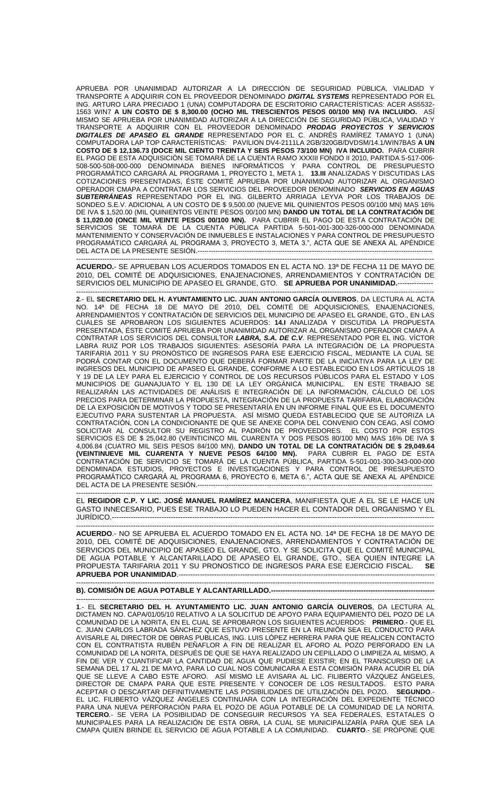APRUEBA POR UNANIMIDAD AUTORIZAR A LA DIRECCIÓN DE SEGURIDAD PÚBLICA, VIALIDAD Y TRANSPORTE A ADQUIRIR CON EL PROVEEDOR DENOMINADO *DIGITAL SYSTEMS* REPRESENTADO POR EL ING. ARTURO LARA PRECIADO 1 (UNA) COMPUTADORA DE ESCRITORIO CARACTERÍSTICAS: ACER AS5532- 1563 WIN7 **A UN COSTO DE \$ 8,300.00 (OCHO MIL TRESCIENTOS PESOS 00/100 MN) IVA INCLUIDO.** ASÍ MISMO SE APRUEBA POR UNANIMIDAD AUTORIZAR A LA DIRECCIÓN DE SEGURIDAD PÚBLICA, VIALIDAD Y TRANSPORTE A ADQUIRIR CON EL PROVEEDOR DENOMINADO *PRODAG PROYECTOS Y SERVICIOS DIGITALES DE APASEO EL GRANDE* REPRESENTADO POR EL C. ANDRÉS RAMÍREZ TAMAYO 1 (UNA) COMPUTADORA LAP TOP CARACTERÍSTICAS: PAVILION DV4-2111LA 2GB/320GB/DVDSM/14.1/WIN7BAS **A UN COSTO DE \$ 12,136.73 (DOCE MIL CIENTO TREINTA Y SEIS PESOS 73/100 MN) IVA INCLUIDO.** PARA CUBRIR EL PAGO DE ESTA ADQUISICIÓN SE TOMARÁ DE LA CUENTA RAMO XXXIII FONDO II 2010, PARTIDA 5-517-006- 508-500-508-000-000 DENOMINADA BIENES INFORMÁTICOS Y PARA CONTROL DE PRESUPUESTO PROGRAMÁTICO CARGARÁ AL PROGRAMA 1, PROYECTO 1, META 1. **13.III** ANALIZADAS Y DISCUTIDAS LAS COTIZACIONES PRESENTADAS, ÉSTE COMITÉ APRUEBA POR UNANIMIDAD AUTORIZAR AL ORGANISMO OPERADOR CMAPA A CONTRATAR LOS SERVICIOS DEL PROVEEDOR DENOMINADO *SERVICIOS EN AGUAS SUBTERRÁNEAS* REPRESENTADO POR EL ING. GILBERTO ARRIAGA LEYVA POR LOS TRABAJOS DE SONDEO S.E.V. ADICIONAL A UN COSTO DE \$ 9,500.00 (NUEVE MIL QUINIENTOS PESOS 00/100 MN) MAS 16% DE IVA \$ 1,520.00 (MIL QUINIENTOS VEINTE PESOS 00/100 MN) **DANDO UN TOTAL DE LA CONTRATACIÓN DE \$ 11,020.00 (ONCE MIL VEINTE PESOS 00/100 MN).** PARA CUBRIR EL PAGO DE ESTA CONTRATACIÓN DE SERVICIOS SE TOMARÁ DE LA CUENTA PÚBLICA PARTIDA 5-501-001-300-326-000-000 DENOMINADA MANTENIMIENTO Y CONSERVACIÓN DE INMUEBLES E INSTALACIONES Y PARA CONTROL DE PRESUPUESTO PROGRAMÁTICO CARGARÁ AL PROGRAMA 3, PROYECTO 3, META 3.", ACTA QUE SE ANEXA AL APÉNDICE DEL ACTA DE LA PRESENTE SESIÓN.---------------------------------------------------------------------------------------------------------

------------------------------------------------------------------------------------------------------------------------------------------------------- **ACUERDO.**- SE APRUEBAN LOS ACUERDOS TOMADOS EN EL ACTA NO. 13ª DE FECHA 11 DE MAYO DE 2010, DEL COMITÉ DE ADQUISICIONES, ENAJENACIONES, ARRENDAMIENTOS Y CONTRATACIÓN DE SERVICIOS DEL MUNICIPIO DE APASEO EL GRANDE, GTO. **SE APRUEBA POR UNANIMIDAD.**---------------

------------------------------------------------------------------------------------------------------------------------------------------------------- **2**.- EL **SECRETARIO DEL H. AYUNTAMIENTO LIC. JUAN ANTONIO GARCÍA OLIVEROS**, DA LECTURA AL ACTA NO. 14ª DE FECHA 18 DE MAYO DE 2010, DEL COMITÉ DE ADQUISICIONES, ENAJENACIONES, ARRENDAMIENTOS Y CONTRATACIÓN DE SERVICIOS DEL MUNICIPIO DE APASEO EL GRANDE, GTO., EN LAS CUALES SE APROBARON LOS SIGUIENTES ACUERDOS: **14.I** ANALIZADA Y DISCUTIDA LA PROPUESTA PRESENTADA, ÉSTE COMITÉ APRUEBA POR UNANIMIDAD AUTORIZAR AL ORGANISMO OPERADOR CMAPA A CONTRATAR LOS SERVICIOS DEL CONSULTOR *LABRA, S.A. DE C.V*. REPRESENTADO POR EL ING. VÍCTOR LABRA RUIZ POR LOS TRABAJOS SIGUIENTES: ASESORÍA PARA LA INTEGRACIÓN DE LA PROPUESTA TARIFARIA 2011 Y SU PRONÓSTICO DE INGRESOS PARA ESE EJERCICIO FISCAL, MEDIANTE LA CUAL SE PODRÁ CONTAR CON EL DOCUMENTO QUE DEBERÁ FORMAR PARTE DE LA INICIATIVA PARA LA LEY DE INGRESOS DEL MUNICIPIO DE APASEO EL GRANDE, CONFORME A LO ESTABLECIDO EN LOS ARTÍCULOS 18 Y 19 DE LA LEY PARA EL EJERCICIO Y CONTROL DE LOS RECURSOS PÚBLICOS PARA EL ESTADO Y LOS MUNICIPIOS DE GUANAJUATO Y EL 130 DE LA LEY ORGÁNICA MUNICIPAL. EN ESTE TRABAJO SE REALIZARÁN LAS ACTIVIDADES DE ANÁLISIS E INTEGRACIÓN DE LA INFORMACIÓN, CÁLCULO DE LOS PRECIOS PARA DETERMINAR LA PROPUESTA, INTEGRACIÓN DE LA PROPUESTA TARIFARIA, ELABORACIÓN DE LA EXPOSICIÓN DE MOTIVOS Y TODO SE PRESENTARÍA EN UN INFORME FINAL QUE ES EL DOCUMENTO EJECUTIVO PARA SUSTENTAR LA PROPUESTA. ASÍ MISMO QUEDA ESTABLECIDO QUE SE AUTORIZA LA CONTRATACIÓN, CON LA CONDICIONANTE DE QUE SE ANEXE COPIA DEL CONVENIO CON CEAG, ASÍ COMO SOLICITAR AL CONSULTOR SU REGISTRO AL PADRON DE PROVEEDORES. EL COSTO POR ESTOS SERVICIOS ES DE \$ 25,042.80 (VEINTICINCO MIL CUARENTA Y DOS PESOS 80/100 MN) MAS 16% DE IVA \$ 4,006.84 (CUATRO MIL SEIS PESOS 84/100 MN), **DANDO UN TOTAL DE LA CONTRATACIÓN DE \$ 29,049.64 (VEINTINUEVE MIL CUARENTA Y NUEVE PESOS 64/100 MN).** PARA CUBRIR EL PAGO DE ESTA CONTRATACIÓN DE SERVICIO SE TOMARÁ DE LA CUENTA PÚBLICA, PARTIDA 5-501-001-300-343-000-000 DENOMINADA ESTUDIOS, PROYECTOS E INVESTIGACIONES Y PARA CONTROL DE PRESUPUESTO PROGRAMÁTICO CARGARÁ AL PROGRAMA 6, PROYECTO 6, META 6.", ACTA QUE SE ANEXA AL APÉNDICE DEL ACTA DE LA PRESENTE SESIÓN -----------------------------------------------------------------------------------------------------------------------------------------------------------

EL **REGIDOR C.P. Y LIC. JOSÉ MANUEL RAMÍREZ MANCERA**, MANIFIESTA QUE A EL SE LE HACE UN GASTO INNECESARIO, PUES ESE TRABAJO LO PUEDEN HACER EL CONTADOR DEL ORGANISMO Y EL JURÍDICO.----------------------------------------------------------------------------------------------------------------------------------------

------------------------------------------------------------------------------------------------------------------------------------------------------- **ACUERDO**.- NO SE APRUEBA EL ACUERDO TOMADO EN EL ACTA NO. 14ª DE FECHA 18 DE MAYO DE 2010, DEL COMITÉ DE ADQUISICIONES, ENAJENACIONES, ARRENDAMIENTOS Y CONTRATACIÓN DE SERVICIOS DEL MUNICIPIO DE APASEO EL GRANDE, GTO. Y SE SOLICITA QUE EL COMITÉ MUNICIPAL DE AGUA POTABLE Y ALCANTARILLADO DE APASEO EL GRANDE, GTO., SEA QUIEN INTEGRE LA PROPUESTA TARIFARIA 2011 Y SU PRONOSTICO DE INGRESOS PARA ESE EJERCICIO FISCAL. **SE APRUEBA POR UNANIMIDAD**.------------------------------------------------------------------------------------------------------------

## ------------------------------------------------------------------------------------------------------------------------------------------------------- **B). COMISIÓN DE AGUA POTABLE Y ALCANTARILLADO.---------------------------------------------------------------------**

------------------------------------------------------------------------------------------------------------------------------------------------------- **1**.- EL **SECRETARIO DEL H. AYUNTAMIENTO LIC. JUAN ANTONIO GARCÍA OLIVEROS**, DA LECTURA AL DICTAMEN NO. CAPA/01/05/10 RELATIVO A LA SOLICITUD DE APOYO PARA EQUIPAMIENTO DEL POZO DE LA COMUNIDAD DE LA NORITA, EN EL CUAL SE APROBARON LOS SIGUIENTES ACUERDOS: **PRIMERO**.- QUE EL C. JUAN CARLOS LABRADA SÁNCHEZ QUE ESTUVO PRESENTE EN LA REUNIÓN SEA EL CONDUCTO PARA AVISARLE AL DIRECTOR DE OBRAS PUBLICAS, ING. LUIS LÓPEZ HERRERA PARA QUE REALICEN CONTACTO CON EL CONTRATISTA RUBÉN PEÑAFLOR A FIN DE REALIZAR EL AFORO AL POZO PERFORADO EN LA COMUNIDAD DE LA NORITA, DESPUÉS DE QUE SE HAYA REALIZADO UN CEPILLADO O LIMPIEZA AL MISMO, A FIN DE VER Y CUANTIFICAR LA CANTIDAD DE AGUA QUE PUDIESE EXISTIR; EN EL TRANSCURSO DE LA SEMANA DEL 17 AL 21 DE MAYO, PARA LO CUAL NOS COMUNICARA A ESTA COMISIÓN PARA ACUDIR EL DÍA QUE SE LLEVE A CABO ESTE AFORO. ASÍ MISMO LE AVISARA AL LIC. FILIBERTO VÁZQUEZ ÁNGELES, DIRECTOR DE CMAPA PARA QUE ESTE PRESENTE Y CONOCER DE LOS RESULTADOS. ESTO PARA ACEPTAR O DESCARTAR DEFINITIVAMENTE LAS POSIBILIDADES DE UTILIZACIÓN DEL POZO. **SEGUNDO**.- EL LIC. FILIBERTO VÁZQUEZ ÁNGELES CONTINUARA CON LA INTEGRACIÓN DEL EXPEDIENTE TÉCNICO PARA UNA NUEVA PERFORACIÓN PARA EL POZO DE AGUA POTABLE DE LA COMUNIDAD DE LA NORITA. **TERCERO**.- SE VERA LA POSIBILIDAD DE CONSEGUIR RECURSOS YA SEA FEDERALES, ESTATALES O MUNICIPALES PARA LA REALIZACIÓN DE ESTA OBRA, LA CUAL SE MUNICIPALIZARÍA PARA QUE SEA LA CMAPA QUIEN BRINDE EL SERVICIO DE AGUA POTABLE A LA COMUNIDAD. **CUARTO**.- SE PROPONE QUE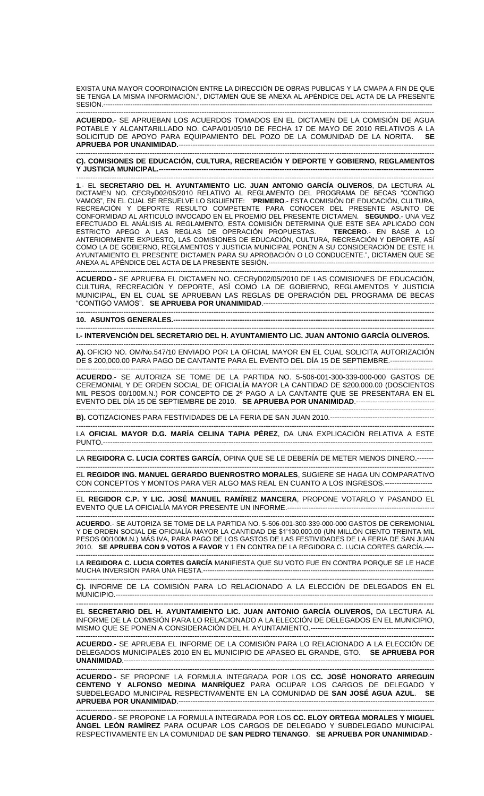EXISTA UNA MAYOR COORDINACIÓN ENTRE LA DIRECCIÓN DE OBRAS PUBLICAS Y LA CMAPA A FIN DE QUE SE TENGA LA MISMA INFORMACIÓN.", DICTAMEN QUE SE ANEXA AL APÉNDICE DEL ACTA DE LA PRESENTE SESIÓN.---------------------------------------------------------------------------------------------------------------------------------------------------

-------------------------------------------------------------------------------------------------------------------------------------------------------

**ACUERDO.**- SE APRUEBAN LOS ACUERDOS TOMADOS EN EL DICTAMEN DE LA COMISIÓN DE AGUA POTABLE Y ALCANTARILLADO NO. CAPA/01/05/10 DE FECHA 17 DE MAYO DE 2010 RELATIVOS A LA SOLICITUD DE APOYO PARA EQUIPAMIENTO DEL POZO DE LA COMUNIDAD DE LA NORITA. **SE APRUEBA POR UNANIMIDAD.**------------------------------------------------------------------------------------------------------------

------------------------------------------------------------------------------------------------------------------------------------------------------- **C). COMISIONES DE EDUCACIÓN, CULTURA, RECREACIÓN Y DEPORTE Y GOBIERNO, REGLAMENTOS**  Y JUSTICIA MUNICIPAL.----

------------------------------------------------------------------------------------------------------------------------------------------------------- **1**.- EL **SECRETARIO DEL H. AYUNTAMIENTO LIC. JUAN ANTONIO GARCÍA OLIVEROS**, DA LECTURA AL DICTAMEN NO. CECRyD02/05/2010 RELATIVO AL REGLAMENTO DEL PROGRAMA DE BECAS "CONTIGO VAMOS", EN EL CUAL SE RESUELVE LO SIGUIENTE: "**PRIMERO**.- ESTA COMISIÓN DE EDUCACIÓN, CULTURA, RECREACIÓN Y DEPORTE RESULTO COMPETENTE PARA CONOCER DEL PRESENTE ASUNTO DE CONFORMIDAD AL ARTICULO INVOCADO EN EL PROEMIO DEL PRESENTE DICTAMEN. **SEGUNDO**.- UNA VEZ EFECTUADO EL ANÁLISIS AL REGLAMENTO, ESTA COMISIÓN DETERMINA QUE ESTE SEA APLICADO CON ESTRICTO APEGO A LAS REGLAS DE OPERACIÓN PROPUESTAS. **TERCERO**.- EN BASE A LO ANTERIORMENTE EXPUESTO, LAS COMISIONES DE EDUCACION, CULTURA, RECREACION Y DEPORTE, ASI COMO LA DE GOBIERNO, REGLAMENTOS Y JUSTICIA MUNICIPAL PONEN A SU CONSIDERACIÓN DE ESTE H. AYUNTAMIENTO EL PRESENTE DICTAMEN PARA SU APROBACIÓN O LO CONDUCENTE.", DICTAMEN QUE SE ANEXA AL APÉNDICE DEL ACTA DE LA PRESENTE SESIÓN.--------------------------------------------------------------------------

------------------------------------------------------------------------------------------------------------------------------------------------------- **ACUERDO**.- SE APRUEBA EL DICTAMEN NO. CECRyD02/05/2010 DE LAS COMISIONES DE EDUCACIÓN, CULTURA, RECREACIÓN Y DEPORTE, ASÍ COMO LA DE GOBIERNO, REGLAMENTOS Y JUSTICIA MUNICIPAL, EN EL CUAL SE APRUEBAN LAS REGLAS DE OPERACIÓN DEL PROGRAMA DE BECAS "CONTIGO VAMOS". **SE APRUEBA POR UNANIMIDAD**.------------------------------------------------------------------------

-------------------------------------------------------------------------------------------------------------------------------------------------------

 $-1\leq i\leq n-1$ 

**10. ASUNTOS GENERALES.--------------------------------------------------------------------------------------------------------------**

**I.- INTERVENCIÓN DEL SECRETARIO DEL H. AYUNTAMIENTO LIC. JUAN ANTONIO GARCÍA OLIVEROS.**

------------------------------------------------------------------------------------------------------------------------------------------------------- **A).** OFICIO NO. OM/No.547/10 ENVIADO POR LA OFICIAL MAYOR EN EL CUAL SOLICITA AUTORIZACIÓN DE \$ 200,000.00 PARA PAGO DE CANTANTE PARA EL EVENTO DEL DÍA 15 DE SEPTIEMBRE.------------------

------------------------------------------------------------------------------------------------------------------------------------------------------- **ACUERDO**.- SE AUTORIZA SE TOME DE LA PARTIDA NO. 5-506-001-300-339-000-000 GASTOS DE CEREMONIAL Y DE ORDEN SOCIAL DE OFICIALÍA MAYOR LA CANTIDAD DE \$200,000.00 (DOSCIENTOS MIL PESOS 00/100M.N.) POR CONCEPTO DE 2º PAGO A LA CANTANTE QUE SE PRESENTARA EN EL EVENTO DEL DÍA 15 DE SEPTIEMBRE DE 2010. **SE APRUEBA POR UNANIMIDAD**.---------------------------------

------------------------------------------------------------------------------------------------------------------------------------------------------- **B).** COTIZACIONES PARA FESTIVIDADES DE LA FERIA DE SAN JUAN 2010.--------------------------------------------

------------------------------------------------------------------------------------------------------------------------------------------------------- LA **OFICIAL MAYOR D.G. MARÍA CELINA TAPIA PÉREZ**, DA UNA EXPLICACIÓN RELATIVA A ESTE PUNTO.------------------------------

------------------------------------------------------------------------------------------------------------------------------------------------------- LA **REGIDORA C. LUCIA CORTES GARCÍA**, OPINA QUE SE LE DEBERÍA DE METER MENOS DINERO.------- -------------------------------------------------------------------------------------------------------------------------------------------------------

EL **REGIDOR ING. MANUEL GERARDO BUENROSTRO MORALES**, SUGIERE SE HAGA UN COMPARATIVO CON CONCEPTOS Y MONTOS PARA VER ALGO MAS REAL EN CUANTO A LOS INGRESOS.--------------------

------------------------------------------------------------------------------------------------------------------------------------------------------- EL **REGIDOR C.P. Y LIC. JOSÉ MANUEL RAMÍREZ MANCERA**, PROPONE VOTARLO Y PASANDO EL EVENTO QUE LA OFICIALÍA MAYOR PRESENTE UN INFORME.--------------------------------------------------------------

------------------------------------------------------------------------------------------------------------------------------------------------------- **ACUERDO**.- SE AUTORIZA SE TOME DE LA PARTIDA NO. 5-506-001-300-339-000-000 GASTOS DE CEREMONIAL Y DE ORDEN SOCIAL DE OFICIALÍA MAYOR LA CANTIDAD DE \$1'130,000.00 (UN MILLÓN CIENTO TREINTA MIL PESOS 00/100M.N.) MÁS IVA, PARA PAGO DE LOS GASTOS DE LAS FESTIVIDADES DE LA FERIA DE SAN JUAN 2010. **SE APRUEBA CON 9 VOTOS A FAVOR** Y 1 EN CONTRA DE LA REGIDORA C. LUCIA CORTES GARCÍA.----

------------------------------------------------------------------------------------------------------------------------------------------------------- LA **REGIDORA C. LUCIA CORTES GARCÍA** MANIFIESTA QUE SU VOTO FUE EN CONTRA PORQUE SE LE HACE MUCHA INVERSIÓN PARA UNA FIESTA.-------------------------------------------------------------------------------------------------------

------------------------------------------------------------------------------------------------------------------------------------------------------- **C).** INFORME DE LA COMISIÓN PARA LO RELACIONADO A LA ELECCIÓN DE DELEGADOS EN EL MUNICIPIO.--------------------------------------------------------------------------------------------------------------------------------------

----------------------------------------------------------------------------------------------------------------------------------------------- EL **SECRETARIO DEL H. AYUNTAMIENTO LIC. JUAN ANTONIO GARCÍA OLIVEROS,** DA LECTURA AL INFORME DE LA COMISIÓN PARA LO RELACIONADO A LA ELECCIÓN DE DELEGADOS EN EL MUNICIPIO, MISMO QUE SE PONEN A CONSIDERACIÓN DEL H. AYUNTAMIENTO.----------------------------------------------------

------------------------------------------------------------------------------------------------------------------------------------------------------- **ACUERDO**.- SE APRUEBA EL INFORME DE LA COMISIÓN PARA LO RELACIONADO A LA ELECCIÓN DE DELEGADOS MUNICIPALES 2010 EN EL MUNICIPIO DE APASEO EL GRANDE, GTO. **SE APRUEBA POR UNANIMIDAD**.-----------------------------------------------------------------------------------------------------------------------------------

------------------------------------------------------------------------------------------------------------------------------------------------------- **ACUERDO**.- SE PROPONE LA FORMULA INTEGRADA POR LOS **CC. JOSÉ HONORATO ARREGUIN CENTENO Y ALFONSO MEDINA MANRÍQUEZ** PARA OCUPAR LOS CARGOS DE DELEGADO Y SUBDELEGADO MUNICIPAL RESPECTIVAMENTE EN LA COMUNIDAD DE **SAN JOSÉ AGUA AZUL**. **SE APRUEBA POR UNANIMIDAD**.------------------------------------------------------------------------------------------------------------

**ACUERDO**.- SE PROPONE LA FORMULA INTEGRADA POR LOS **CC. ELOY ORTEGA MORALES Y MIGUEL ÁNGEL LEÓN RAMÍREZ** PARA OCUPAR LOS CARGOS DE DELEGADO Y SUBDELEGADO MUNICIPAL RESPECTIVAMENTE EN LA COMUNIDAD DE **SAN PEDRO TENANGO**. **SE APRUEBA POR UNANIMIDAD**.-

-------------------------------------------------------------------------------------------------------------------------------------------------------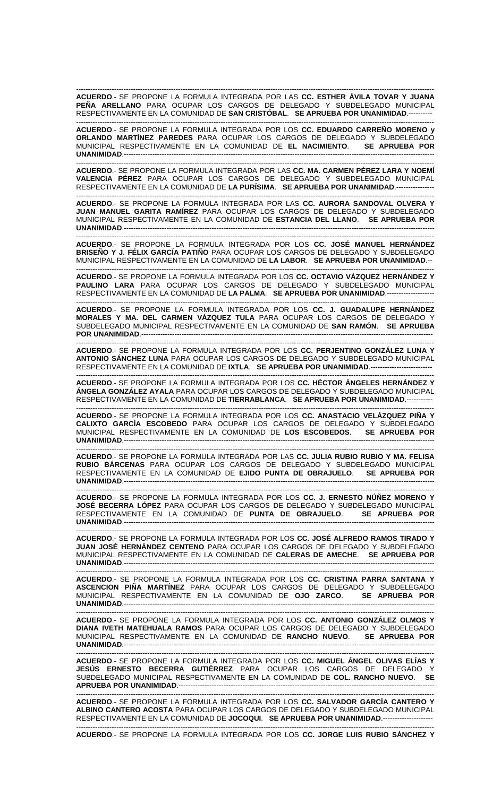------------------------------------------------------------------------------------------------------------------------------------------------------- **ACUERDO**.- SE PROPONE LA FORMULA INTEGRADA POR LAS **CC. ESTHER ÁVILA TOVAR Y JUANA PEÑA ARELLANO** PARA OCUPAR LOS CARGOS DE DELEGADO Y SUBDELEGADO MUNICIPAL RESPECTIVAMENTE EN LA COMUNIDAD DE **SAN CRISTÓBAL**. **SE APRUEBA POR UNANIMIDAD**.----------

------------------------------------------------------------------------------------------------------------------------------------------------------- **ACUERDO**.- SE PROPONE LA FORMULA INTEGRADA POR LOS **CC. EDUARDO CARREÑO MORENO y ORLANDO MARTÍNEZ PAREDES** PARA OCUPAR LOS CARGOS DE DELEGADO Y SUBDELEGADO MUNICIPAL RESPECTIVAMENTE EN LA COMUNIDAD DE **EL NACIMIENTO**. **SE APRUEBA POR UNANIMIDAD**.-----------------------------------------------------------------------------------------------------------------------------------

------------------------------------------------------------------------------------------------------------------------------------------------------- **ACUERDO**.- SE PROPONE LA FORMULA INTEGRADA POR LAS **CC. MA. CARMEN PÉREZ LARA Y NOEMÍ VALENCIA PÉREZ** PARA OCUPAR LOS CARGOS DE DELEGADO Y SUBDELEGADO MUNICIPAL RESPECTIVAMENTE EN LA COMUNIDAD DE **LA PURÍSIMA**. **SE APRUEBA POR UNANIMIDAD**.----------------

------------------------------------------------------------------------------------------------------------------------------------------------------- **ACUERDO**.- SE PROPONE LA FORMULA INTEGRADA POR LAS **CC. AURORA SANDOVAL OLVERA Y JUAN MANUEL GARITA RAMÍREZ** PARA OCUPAR LOS CARGOS DE DELEGADO Y SUBDELEGADO MUNICIPAL RESPECTIVAMENTE EN LA COMUNIDAD DE **ESTANCIA DEL LLANO**. **SE APRUEBA POR**  UNANIMIDAD.-----------------------------

------------------------------------------------------------------------------------------------------------------------------------------------------- **ACUERDO**.- SE PROPONE LA FORMULA INTEGRADA POR LOS **CC. JOSÉ MANUEL HERNÁNDEZ BRISEÑO Y J. FÉLIX GARCÍA PATIÑO** PARA OCUPAR LOS CARGOS DE DELEGADO Y SUBDELEGADO MUNICIPAL RESPECTIVAMENTE EN LA COMUNIDAD DE **LA LABOR**. **SE APRUEBA POR UNANIMIDAD**.--

------------------------------------------------------------------------------------------------------------------------------------------------------- **ACUERDO**.- SE PROPONE LA FORMULA INTEGRADA POR LOS **CC. OCTAVIO VÁZQUEZ HERNÁNDEZ Y PAULINO LARA** PARA OCUPAR LOS CARGOS DE DELEGADO Y SUBDELEGADO MUNICIPAL RESPECTIVAMENTE EN LA COMUNIDAD DE **LA PALMA**. **SE APRUEBA POR UNANIMIDAD**.--------------------

------------------------------------------------------------------------------------------------------------------------------------------------------- **ACUERDO**.- SE PROPONE LA FORMULA INTEGRADA POR LOS **CC. J. GUADALUPE HERNÁNDEZ MORALES Y MA. DEL CARMEN VÁZQUEZ TULA** PARA OCUPAR LOS CARGOS DE DELEGADO Y SUBDELEGADO MUNICIPAL RESPECTIVAMENTE EN LA COMUNIDAD DE **SAN RAMÓN**. **SE APRUEBA POR UNANIMIDAD**.---------------------------------------------------------------------------------------------------------------------------

------------------------------------------------------------------------------------------------------------------------------------------------------- **ACUERDO**.- SE PROPONE LA FORMULA INTEGRADA POR LOS **CC. PERJENTINO GONZÁLEZ LUNA Y ANTONIO SÁNCHEZ LUNA** PARA OCUPAR LOS CARGOS DE DELEGADO Y SUBDELEGADO MUNICIPAL RESPECTIVAMENTE EN LA COMUNIDAD DE **IXTLA**. **SE APRUEBA POR UNANIMIDAD**.--------------------------

------------------------------------------------------------------------------------------------------------------------------------------------------- **ACUERDO**.- SE PROPONE LA FORMULA INTEGRADA POR LOS **CC. HÉCTOR ÁNGELES HERNÁNDEZ Y ÁNGELA GONZÁLEZ AYALA** PARA OCUPAR LOS CARGOS DE DELEGADO Y SUBDELEGADO MUNICIPAL RESPECTIVAMENTE EN LA COMUNIDAD DE **TIERRABLANCA**. **SE APRUEBA POR UNANIMIDAD**.-----------

------------------------------------------------------------------------------------------------------------------------------------------------------- **ACUERDO**.- SE PROPONE LA FORMULA INTEGRADA POR LOS **CC. ANASTACIO VELÁZQUEZ PIÑA Y CALIXTO GARCÍA ESCOBEDO** PARA OCUPAR LOS CARGOS DE DELEGADO Y SUBDELEGADO MUNICIPAL RESPECTIVAMENTE EN LA COMUNIDAD DE **LOS ESCOBEDOS**. **SE APRUEBA POR**  UNANIMIDAD.----------------

------------------------------------------------------------------------------------------------------------------------------------------------------- **ACUERDO**.- SE PROPONE LA FORMULA INTEGRADA POR LAS **CC. JULIA RUBIO RUBIO Y MA. FELISA RUBIO BÁRCENAS** PARA OCUPAR LOS CARGOS DE DELEGADO Y SUBDELEGADO MUNICIPAL RESPECTIVAMENTE EN LA COMUNIDAD DE **EJIDO PUNTA DE OBRAJUELO**. **SE APRUEBA POR UNANIMIDAD**.-----------------------------------------------------------------------------------------------------------------------------------

------------------------------------------------------------------------------------------------------------------------------------------------------- **ACUERDO**.- SE PROPONE LA FORMULA INTEGRADA POR LOS **CC. J. ERNESTO NÚÑEZ MORENO Y JOSÉ BECERRA LÓPEZ** PARA OCUPAR LOS CARGOS DE DELEGADO Y SUBDELEGADO MUNICIPAL RESPECTIVAMENTE EN LA COMUNIDAD DE **PUNTA DE OBRAJUELO**. **SE APRUEBA POR UNANIMIDAD.----**

------------------------------------------------------------------------------------------------------------------------------------------------------- **ACUERDO**.- SE PROPONE LA FORMULA INTEGRADA POR LOS **CC. JOSÉ ALFREDO RAMOS TIRADO Y JUAN JOSÉ HERNÁNDEZ CENTENO** PARA OCUPAR LOS CARGOS DE DELEGADO Y SUBDELEGADO MUNICIPAL RESPECTIVAMENTE EN LA COMUNIDAD DE **CALERAS DE AMECHE**. **SE APRUEBA POR UNANIMIDAD**.-----------------------------------------------------------------------------------------------------------------------------------

------------------------------------------------------------------------------------------------------------------------------------------------------- **ACUERDO**.- SE PROPONE LA FORMULA INTEGRADA POR LOS **CC. CRISTINA PARRA SANTANA Y ASCENCION PIÑA MARTÍNEZ** PARA OCUPAR LOS CARGOS DE DELEGADO Y SUBDELEGADO MUNICIPAL RESPECTIVAMENTE EN LA COMUNIDAD DE **OJO ZARCO**. **SE APRUEBA POR**  UNANIMIDAD.------------------------------

------------------------------------------------------------------------------------------------------------------------------------------------------- **ACUERDO**.- SE PROPONE LA FORMULA INTEGRADA POR LOS **CC. ANTONIO GONZÁLEZ OLMOS Y DIANA IVETH MATEHUALA RAMOS** PARA OCUPAR LOS CARGOS DE DELEGADO Y SUBDELEGADO MUNICIPAL RESPECTIVAMENTE EN LA COMUNIDAD DE **RANCHO NUEVO**. **SE APRUEBA POR**  UNANIMIDAD.-------------------------------

------------------------------------------------------------------------------------------------------------------------------------------------------- **ACUERDO**.- SE PROPONE LA FORMULA INTEGRADA POR LOS **CC. MIGUEL ÁNGEL OLIVAS ELÍAS Y JESÚS ERNESTO BECERRA GUTIÉRREZ** PARA OCUPAR LOS CARGOS DE DELEGADO Y SUBDELEGADO MUNICIPAL RESPECTIVAMENTE EN LA COMUNIDAD DE **COL. RANCHO NUEVO**. **SE APRUEBA POR UNANIMIDAD**.------------------------------------------------------------------------------------------------------------

------------------------------------------------------------------------------------------------------------------------------------------------------- **ACUERDO**.- SE PROPONE LA FORMULA INTEGRADA POR LOS **CC. SALVADOR GARCÍA CANTERO Y ALBINO CANTERO ACOSTA** PARA OCUPAR LOS CARGOS DE DELEGADO Y SUBDELEGADO MUNICIPAL RESPECTIVAMENTE EN LA COMUNIDAD DE **JOCOQUI**. **SE APRUEBA POR UNANIMIDAD**.---------------------

------------------------------------------------------------------------------------------------------------------------------------------------------- **ACUERDO**.- SE PROPONE LA FORMULA INTEGRADA POR LOS **CC. JORGE LUIS RUBIO SÁNCHEZ Y**